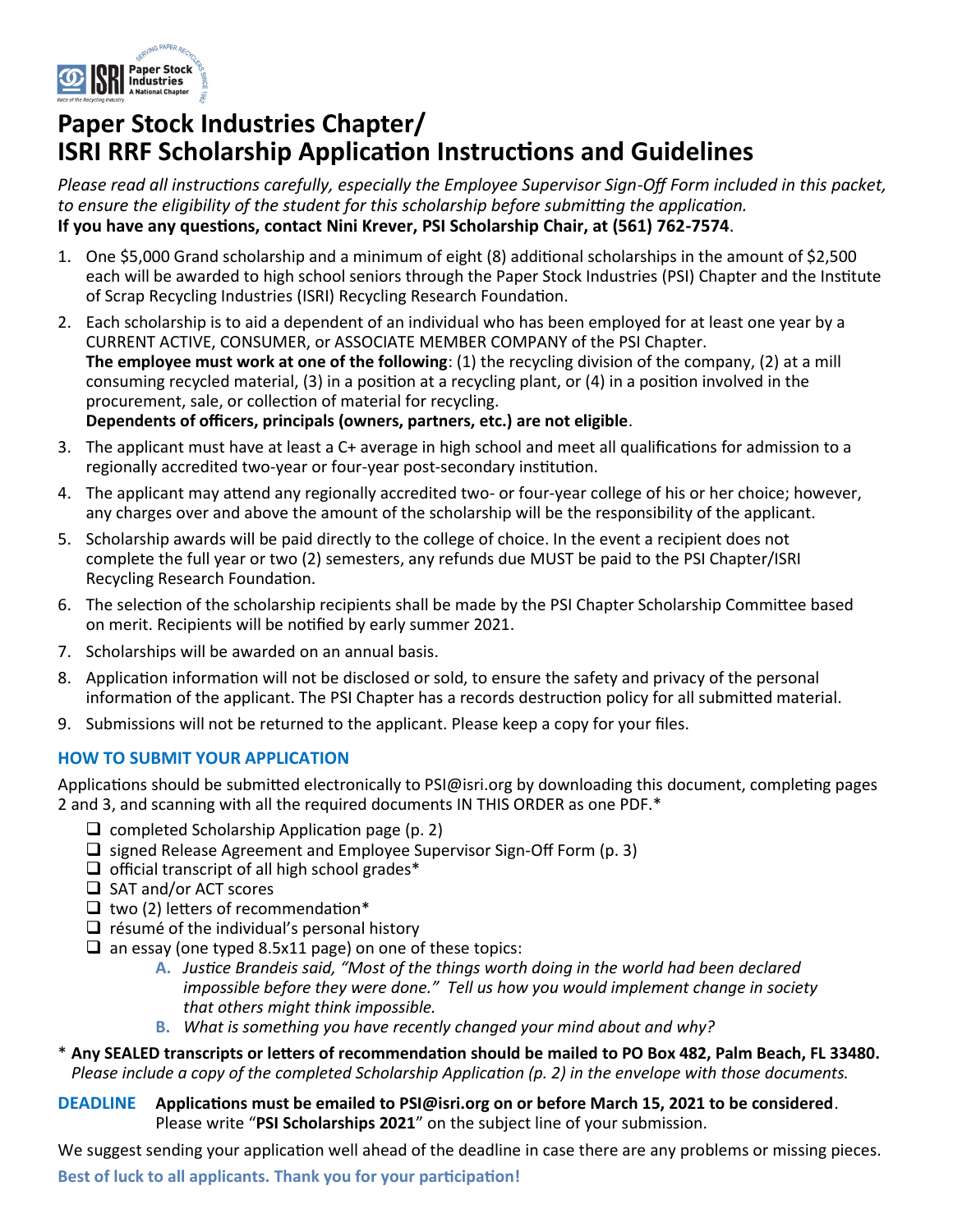

# **Paper Stock Industries Chapter/ ISRI RRF Scholarship Application Instructions and Guidelines**

*Please read all instructions carefully, especially the Employee Supervisor Sign-Off Form included in this packet, to ensure the eligibility of the student for this scholarship before submitting the application.*  **If you have any questions, contact Nini Krever, PSI Scholarship Chair, at (561) 762-7574**.

- 1. One \$5,000 Grand scholarship and a minimum of eight (8) additional scholarships in the amount of \$2,500 each will be awarded to high school seniors through the Paper Stock Industries (PSI) Chapter and the Institute of Scrap Recycling Industries (ISRI) Recycling Research Foundation.
- 2. Each scholarship is to aid a dependent of an individual who has been employed for at least one year by a CURRENT ACTIVE, CONSUMER, or ASSOCIATE MEMBER COMPANY of the PSI Chapter. **The employee must work at one of the following**: (1) the recycling division of the company, (2) at a mill consuming recycled material, (3) in a position at a recycling plant, or (4) in a position involved in the procurement, sale, or collection of material for recycling. **Dependents of officers, principals (owners, partners, etc.) are not eligible**.
- 3. The applicant must have at least a C+ average in high school and meet all qualifications for admission to a regionally accredited two-year or four-year post-secondary institution.
- 4. The applicant may attend any regionally accredited two- or four-year college of his or her choice; however, any charges over and above the amount of the scholarship will be the responsibility of the applicant.
- 5. Scholarship awards will be paid directly to the college of choice. In the event a recipient does not complete the full year or two (2) semesters, any refunds due MUST be paid to the PSI Chapter/ISRI Recycling Research Foundation.
- 6. The selection of the scholarship recipients shall be made by the PSI Chapter Scholarship Committee based on merit. Recipients will be notified by early summer 2021.
- 7. Scholarships will be awarded on an annual basis.
- 8. Application information will not be disclosed or sold, to ensure the safety and privacy of the personal information of the applicant. The PSI Chapter has a records destruction policy for all submitted material.
- 9. Submissions will not be returned to the applicant. Please keep a copy for your files.

#### **HOW TO SUBMIT YOUR APPLICATION**

Applications should be submitted electronically to PSI@isri.org by downloading this document, completing pages 2 and 3, and scanning with all the required documents IN THIS ORDER as one PDF.\*

- $\Box$  completed Scholarship Application page (p. 2)
- ❑ signed Release Agreement and Employee Supervisor Sign-Off Form (p. 3)
- $\Box$  official transcript of all high school grades\*
- ❑ SAT and/or ACT scores
- $\Box$  two (2) letters of recommendation\*
- $\Box$  résumé of the individual's personal history
- ❑ an essay (one typed 8.5x11 page) on one of these topics:
	- **A.** *Justice Brandeis said, "Most of the things worth doing in the world had been declared impossible before they were done." Tell us how you would implement change in society that others might think impossible.*
	- **B.** *What is something you have recently changed your mind about and why?*
- \* **Any SEALED transcripts or letters of recommendation should be mailed to PO Box 482, Palm Beach, FL 33480.**  *Please include a copy of the completed Scholarship Application (p. 2) in the envelope with those documents.*
- **DEADLINE Applications must be emailed to PSI@isri.org on or before March 15, 2021 to be considered**. Please write "**PSI Scholarships 2021**" on the subject line of your submission.

We suggest sending your application well ahead of the deadline in case there are any problems or missing pieces.

**Best of luck to all applicants. Thank you for your participation!**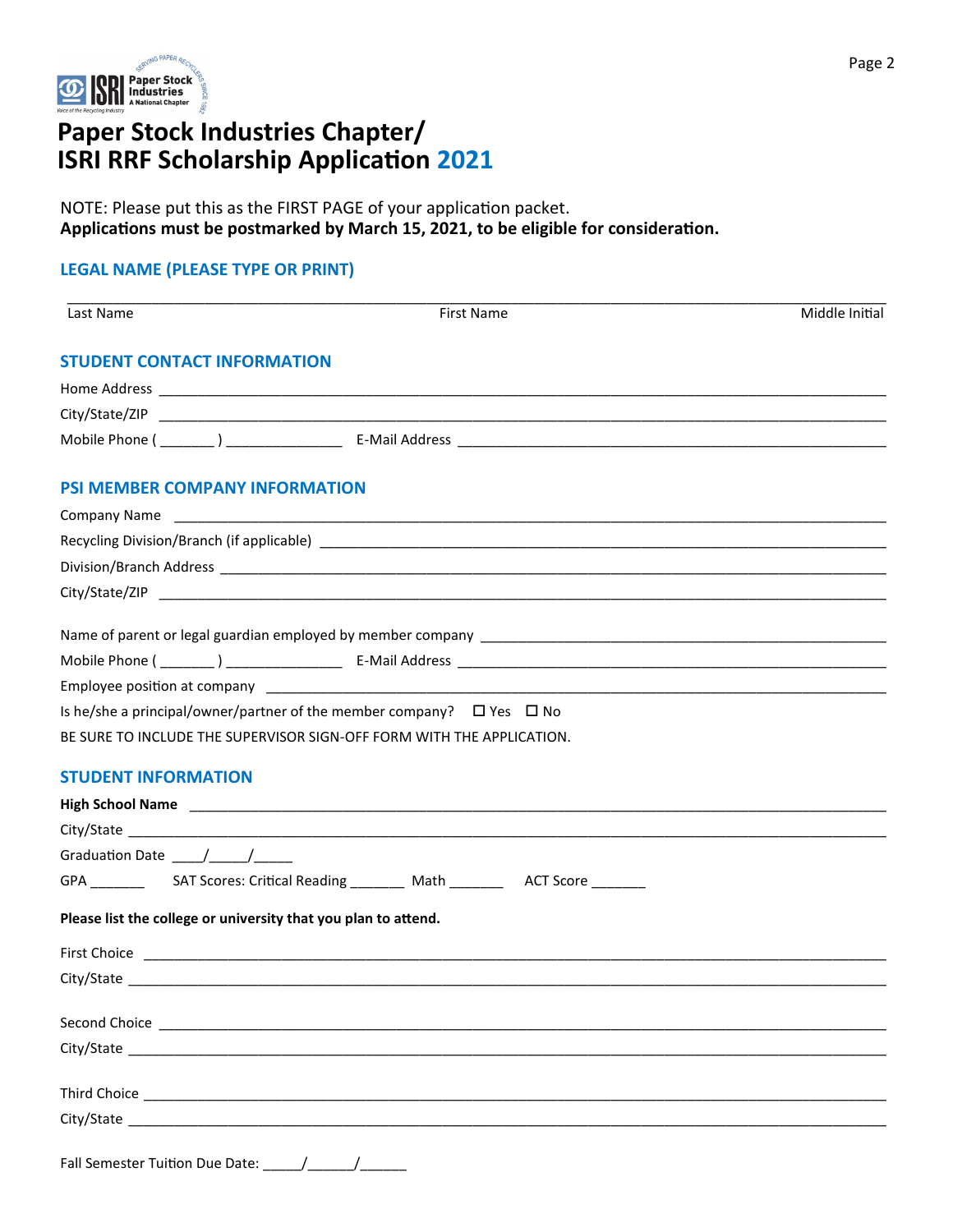

## **Paper Stock Industries Chapter/ ISRI RRF Scholarship Application 2021**

NOTE: Please put this as the FIRST PAGE of your application packet. **Applications must be postmarked by March 15, 2021, to be eligible for consideration.** Page 2

#### **LEGAL NAME (PLEASE TYPE OR PRINT)**

| Last Name                                                                                                                                                                                                                                                                                                                                                                                                         | <b>First Name</b>                                                               | Middle Initial |
|-------------------------------------------------------------------------------------------------------------------------------------------------------------------------------------------------------------------------------------------------------------------------------------------------------------------------------------------------------------------------------------------------------------------|---------------------------------------------------------------------------------|----------------|
| <b>STUDENT CONTACT INFORMATION</b>                                                                                                                                                                                                                                                                                                                                                                                |                                                                                 |                |
|                                                                                                                                                                                                                                                                                                                                                                                                                   |                                                                                 |                |
|                                                                                                                                                                                                                                                                                                                                                                                                                   |                                                                                 |                |
|                                                                                                                                                                                                                                                                                                                                                                                                                   |                                                                                 |                |
| <b>PSI MEMBER COMPANY INFORMATION</b>                                                                                                                                                                                                                                                                                                                                                                             |                                                                                 |                |
|                                                                                                                                                                                                                                                                                                                                                                                                                   |                                                                                 |                |
|                                                                                                                                                                                                                                                                                                                                                                                                                   |                                                                                 |                |
|                                                                                                                                                                                                                                                                                                                                                                                                                   |                                                                                 |                |
|                                                                                                                                                                                                                                                                                                                                                                                                                   |                                                                                 |                |
|                                                                                                                                                                                                                                                                                                                                                                                                                   |                                                                                 |                |
|                                                                                                                                                                                                                                                                                                                                                                                                                   |                                                                                 |                |
|                                                                                                                                                                                                                                                                                                                                                                                                                   |                                                                                 |                |
|                                                                                                                                                                                                                                                                                                                                                                                                                   | Is he/she a principal/owner/partner of the member company? $\Box$ Yes $\Box$ No |                |
|                                                                                                                                                                                                                                                                                                                                                                                                                   | BE SURE TO INCLUDE THE SUPERVISOR SIGN-OFF FORM WITH THE APPLICATION.           |                |
| <b>STUDENT INFORMATION</b>                                                                                                                                                                                                                                                                                                                                                                                        |                                                                                 |                |
|                                                                                                                                                                                                                                                                                                                                                                                                                   |                                                                                 |                |
|                                                                                                                                                                                                                                                                                                                                                                                                                   |                                                                                 |                |
| Graduation Date $\frac{1}{\sqrt{1-\frac{1}{2}}}\frac{1}{\sqrt{1-\frac{1}{2}}}\frac{1}{\sqrt{1-\frac{1}{2}}}\frac{1}{\sqrt{1-\frac{1}{2}}}\frac{1}{\sqrt{1-\frac{1}{2}}}\frac{1}{\sqrt{1-\frac{1}{2}}}\frac{1}{\sqrt{1-\frac{1}{2}}}\frac{1}{\sqrt{1-\frac{1}{2}}}\frac{1}{\sqrt{1-\frac{1}{2}}}\frac{1}{\sqrt{1-\frac{1}{2}}}\frac{1}{\sqrt{1-\frac{1}{2}}}\frac{1}{\sqrt{1-\frac{1}{2}}}\frac{1}{\sqrt{1-\frac{$ |                                                                                 |                |
|                                                                                                                                                                                                                                                                                                                                                                                                                   |                                                                                 |                |
|                                                                                                                                                                                                                                                                                                                                                                                                                   | Please list the college or university that you plan to attend.                  |                |
|                                                                                                                                                                                                                                                                                                                                                                                                                   |                                                                                 |                |
|                                                                                                                                                                                                                                                                                                                                                                                                                   |                                                                                 |                |
|                                                                                                                                                                                                                                                                                                                                                                                                                   |                                                                                 |                |
|                                                                                                                                                                                                                                                                                                                                                                                                                   |                                                                                 |                |
|                                                                                                                                                                                                                                                                                                                                                                                                                   |                                                                                 |                |
|                                                                                                                                                                                                                                                                                                                                                                                                                   |                                                                                 |                |
|                                                                                                                                                                                                                                                                                                                                                                                                                   | Fall Semester Tuition Due Date: / / /                                           |                |